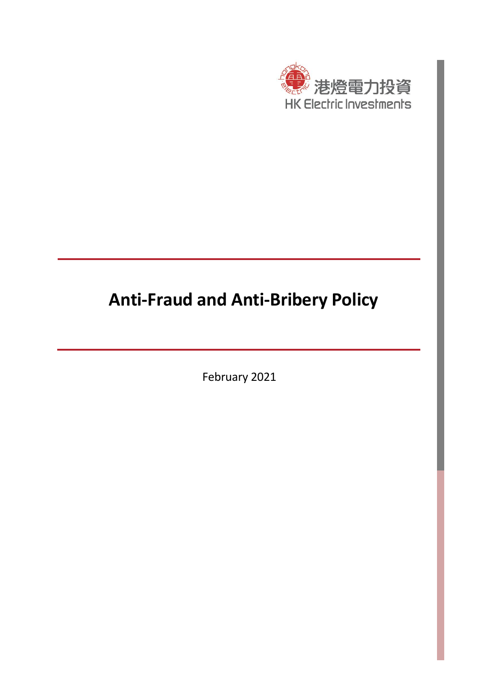

# **Anti-Fraud and Anti-Bribery Policy**

February 2021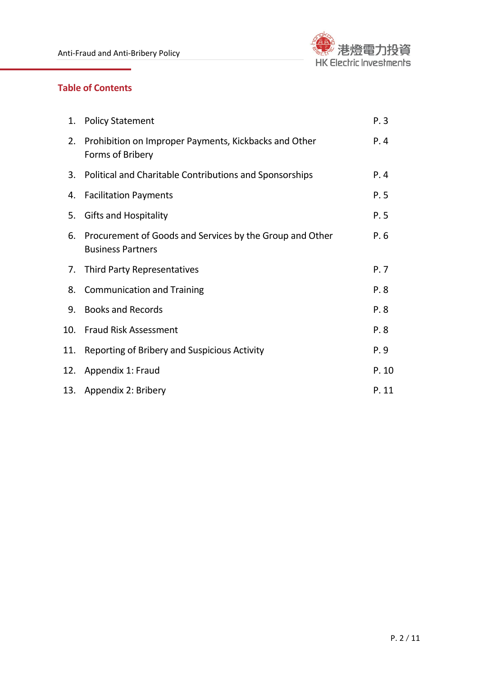

# **Table of Contents**

| 1.  | <b>Policy Statement</b>                                                              | P.3   |
|-----|--------------------------------------------------------------------------------------|-------|
| 2.  | Prohibition on Improper Payments, Kickbacks and Other<br>Forms of Bribery            | P.4   |
| 3.  | Political and Charitable Contributions and Sponsorships                              | P.4   |
| 4.  | <b>Facilitation Payments</b>                                                         | P.5   |
| 5.  | <b>Gifts and Hospitality</b>                                                         | P.5   |
| 6.  | Procurement of Goods and Services by the Group and Other<br><b>Business Partners</b> | P.6   |
| 7.  | <b>Third Party Representatives</b>                                                   | P. 7  |
| 8.  | <b>Communication and Training</b>                                                    | P.8   |
| 9.  | <b>Books and Records</b>                                                             | P.8   |
| 10. | <b>Fraud Risk Assessment</b>                                                         | P.8   |
| 11. | Reporting of Bribery and Suspicious Activity                                         | P.9   |
| 12. | Appendix 1: Fraud                                                                    | P. 10 |
| 13. | Appendix 2: Bribery                                                                  | P. 11 |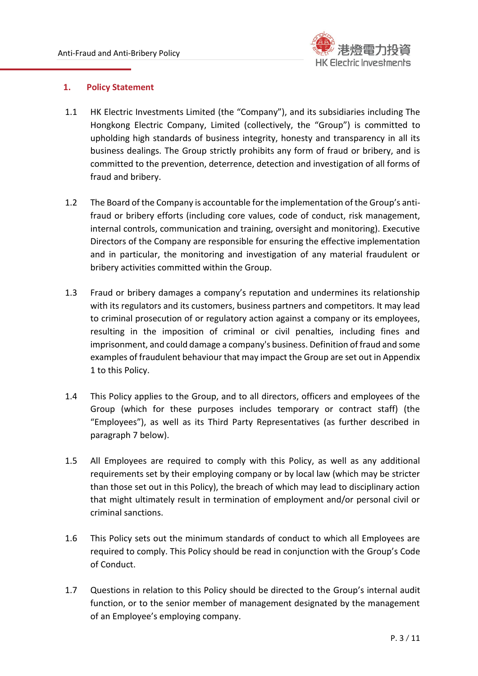

# **1. Policy Statement**

- 1.1 HK Electric Investments Limited (the "Company"), and its subsidiaries including The Hongkong Electric Company, Limited (collectively, the "Group") is committed to upholding high standards of business integrity, honesty and transparency in all its business dealings. The Group strictly prohibits any form of fraud or bribery, and is committed to the prevention, deterrence, detection and investigation of all forms of fraud and bribery.
- 1.2 The Board of the Company is accountable for the implementation of the Group's antifraud or bribery efforts (including core values, code of conduct, risk management, internal controls, communication and training, oversight and monitoring). Executive Directors of the Company are responsible for ensuring the effective implementation and in particular, the monitoring and investigation of any material fraudulent or bribery activities committed within the Group.
- 1.3 Fraud or bribery damages a company's reputation and undermines its relationship with its regulators and its customers, business partners and competitors. It may lead to criminal prosecution of or regulatory action against a company or its employees, resulting in the imposition of criminal or civil penalties, including fines and imprisonment, and could damage a company's business. Definition of fraud and some examples of fraudulent behaviour that may impact the Group are set out in Appendix 1 to this Policy.
- 1.4 This Policy applies to the Group, and to all directors, officers and employees of the Group (which for these purposes includes temporary or contract staff) (the "Employees"), as well as its Third Party Representatives (as further described in paragraph 7 below).
- 1.5 All Employees are required to comply with this Policy, as well as any additional requirements set by their employing company or by local law (which may be stricter than those set out in this Policy), the breach of which may lead to disciplinary action that might ultimately result in termination of employment and/or personal civil or criminal sanctions.
- 1.6 This Policy sets out the minimum standards of conduct to which all Employees are required to comply. This Policy should be read in conjunction with the Group's Code of Conduct.
- 1.7 Questions in relation to this Policy should be directed to the Group's internal audit function, or to the senior member of management designated by the management of an Employee's employing company.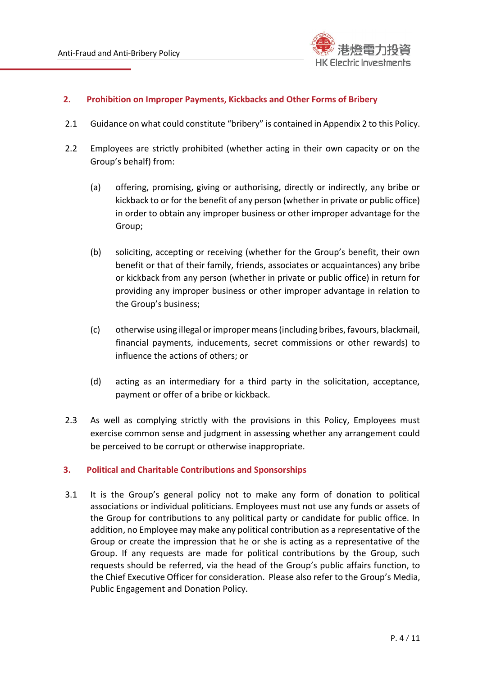

# **2. Prohibition on Improper Payments, Kickbacks and Other Forms of Bribery**

- 2.1 Guidance on what could constitute "bribery" is contained in Appendix 2 to this Policy.
- 2.2 Employees are strictly prohibited (whether acting in their own capacity or on the Group's behalf) from:
	- (a) offering, promising, giving or authorising, directly or indirectly, any bribe or kickback to or for the benefit of any person (whether in private or public office) in order to obtain any improper business or other improper advantage for the Group;
	- (b) soliciting, accepting or receiving (whether for the Group's benefit, their own benefit or that of their family, friends, associates or acquaintances) any bribe or kickback from any person (whether in private or public office) in return for providing any improper business or other improper advantage in relation to the Group's business;
	- (c) otherwise using illegal or improper means (including bribes, favours, blackmail, financial payments, inducements, secret commissions or other rewards) to influence the actions of others; or
	- (d) acting as an intermediary for a third party in the solicitation, acceptance, payment or offer of a bribe or kickback.
- 2.3 As well as complying strictly with the provisions in this Policy, Employees must exercise common sense and judgment in assessing whether any arrangement could be perceived to be corrupt or otherwise inappropriate.

# **3. Political and Charitable Contributions and Sponsorships**

3.1 It is the Group's general policy not to make any form of donation to political associations or individual politicians. Employees must not use any funds or assets of the Group for contributions to any political party or candidate for public office. In addition, no Employee may make any political contribution as a representative of the Group or create the impression that he or she is acting as a representative of the Group. If any requests are made for political contributions by the Group, such requests should be referred, via the head of the Group's public affairs function, to the Chief Executive Officer for consideration. Please also refer to the Group's Media, Public Engagement and Donation Policy.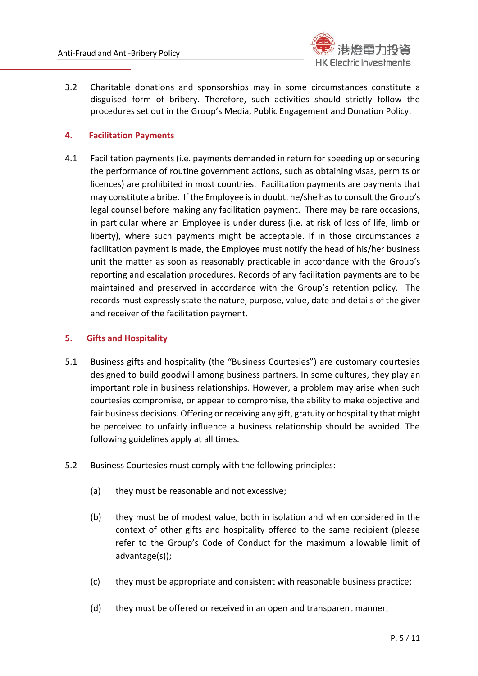

3.2 Charitable donations and sponsorships may in some circumstances constitute a disguised form of bribery. Therefore, such activities should strictly follow the procedures set out in the Group's Media, Public Engagement and Donation Policy.

# **4. Facilitation Payments**

4.1 Facilitation payments (i.e. payments demanded in return for speeding up or securing the performance of routine government actions, such as obtaining visas, permits or licences) are prohibited in most countries. Facilitation payments are payments that may constitute a bribe. If the Employee is in doubt, he/she has to consult the Group's legal counsel before making any facilitation payment. There may be rare occasions, in particular where an Employee is under duress (i.e. at risk of loss of life, limb or liberty), where such payments might be acceptable. If in those circumstances a facilitation payment is made, the Employee must notify the head of his/her business unit the matter as soon as reasonably practicable in accordance with the Group's reporting and escalation procedures. Records of any facilitation payments are to be maintained and preserved in accordance with the Group's retention policy. The records must expressly state the nature, purpose, value, date and details of the giver and receiver of the facilitation payment.

# **5. Gifts and Hospitality**

- 5.1 Business gifts and hospitality (the "Business Courtesies") are customary courtesies designed to build goodwill among business partners. In some cultures, they play an important role in business relationships. However, a problem may arise when such courtesies compromise, or appear to compromise, the ability to make objective and fair business decisions. Offering or receiving any gift, gratuity or hospitality that might be perceived to unfairly influence a business relationship should be avoided. The following guidelines apply at all times.
- 5.2 Business Courtesies must comply with the following principles:
	- (a) they must be reasonable and not excessive;
	- (b) they must be of modest value, both in isolation and when considered in the context of other gifts and hospitality offered to the same recipient (please refer to the Group's Code of Conduct for the maximum allowable limit of advantage(s));
	- (c) they must be appropriate and consistent with reasonable business practice;
	- (d) they must be offered or received in an open and transparent manner;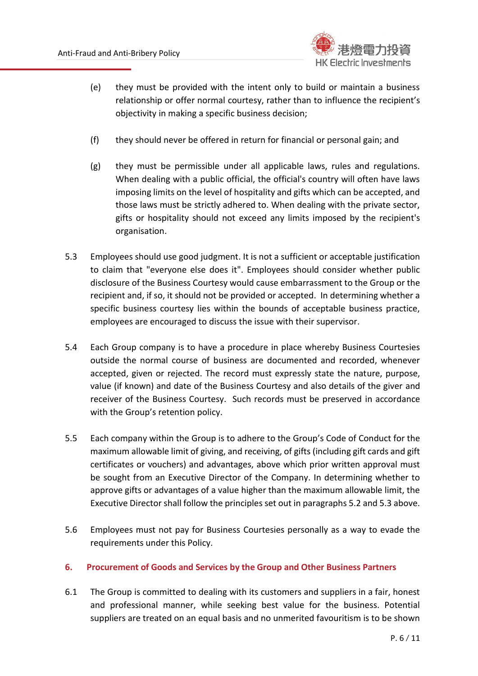

- (e) they must be provided with the intent only to build or maintain a business relationship or offer normal courtesy, rather than to influence the recipient's objectivity in making a specific business decision;
- (f) they should never be offered in return for financial or personal gain; and
- (g) they must be permissible under all applicable laws, rules and regulations. When dealing with a public official, the official's country will often have laws imposing limits on the level of hospitality and gifts which can be accepted, and those laws must be strictly adhered to. When dealing with the private sector, gifts or hospitality should not exceed any limits imposed by the recipient's organisation.
- 5.3 Employees should use good judgment. It is not a sufficient or acceptable justification to claim that "everyone else does it". Employees should consider whether public disclosure of the Business Courtesy would cause embarrassment to the Group or the recipient and, if so, it should not be provided or accepted. In determining whether a specific business courtesy lies within the bounds of acceptable business practice, employees are encouraged to discuss the issue with their supervisor.
- 5.4 Each Group company is to have a procedure in place whereby Business Courtesies outside the normal course of business are documented and recorded, whenever accepted, given or rejected. The record must expressly state the nature, purpose, value (if known) and date of the Business Courtesy and also details of the giver and receiver of the Business Courtesy. Such records must be preserved in accordance with the Group's retention policy.
- 5.5 Each company within the Group is to adhere to the Group's Code of Conduct for the maximum allowable limit of giving, and receiving, of gifts (including gift cards and gift certificates or vouchers) and advantages, above which prior written approval must be sought from an Executive Director of the Company. In determining whether to approve gifts or advantages of a value higher than the maximum allowable limit, the Executive Director shall follow the principles set out in paragraphs 5.2 and 5.3 above.
- 5.6 Employees must not pay for Business Courtesies personally as a way to evade the requirements under this Policy.

# **6. Procurement of Goods and Services by the Group and Other Business Partners**

6.1 The Group is committed to dealing with its customers and suppliers in a fair, honest and professional manner, while seeking best value for the business. Potential suppliers are treated on an equal basis and no unmerited favouritism is to be shown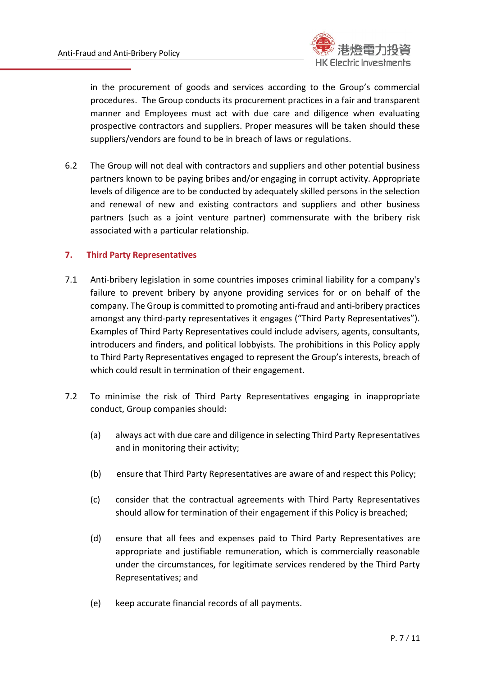

in the procurement of goods and services according to the Group's commercial procedures. The Group conducts its procurement practices in a fair and transparent manner and Employees must act with due care and diligence when evaluating prospective contractors and suppliers. Proper measures will be taken should these suppliers/vendors are found to be in breach of laws or regulations.

6.2 The Group will not deal with contractors and suppliers and other potential business partners known to be paying bribes and/or engaging in corrupt activity. Appropriate levels of diligence are to be conducted by adequately skilled persons in the selection and renewal of new and existing contractors and suppliers and other business partners (such as a joint venture partner) commensurate with the bribery risk associated with a particular relationship.

# **7. Third Party Representatives**

- 7.1 Anti-bribery legislation in some countries imposes criminal liability for a company's failure to prevent bribery by anyone providing services for or on behalf of the company. The Group is committed to promoting anti-fraud and anti-bribery practices amongst any third-party representatives it engages ("Third Party Representatives"). Examples of Third Party Representatives could include advisers, agents, consultants, introducers and finders, and political lobbyists. The prohibitions in this Policy apply to Third Party Representatives engaged to represent the Group's interests, breach of which could result in termination of their engagement.
- 7.2 To minimise the risk of Third Party Representatives engaging in inappropriate conduct, Group companies should:
	- (a) always act with due care and diligence in selecting Third Party Representatives and in monitoring their activity;
	- (b) ensure that Third Party Representatives are aware of and respect this Policy;
	- (c) consider that the contractual agreements with Third Party Representatives should allow for termination of their engagement if this Policy is breached;
	- (d) ensure that all fees and expenses paid to Third Party Representatives are appropriate and justifiable remuneration, which is commercially reasonable under the circumstances, for legitimate services rendered by the Third Party Representatives; and
	- (e) keep accurate financial records of all payments.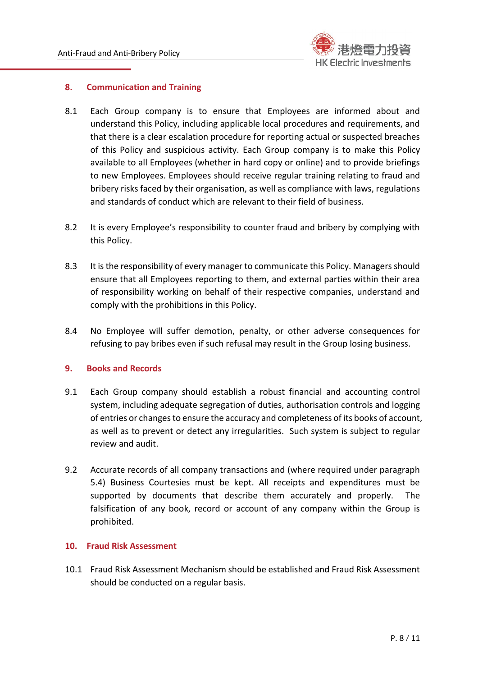

#### **8. Communication and Training**

- 8.1 Each Group company is to ensure that Employees are informed about and understand this Policy, including applicable local procedures and requirements, and that there is a clear escalation procedure for reporting actual or suspected breaches of this Policy and suspicious activity. Each Group company is to make this Policy available to all Employees (whether in hard copy or online) and to provide briefings to new Employees. Employees should receive regular training relating to fraud and bribery risks faced by their organisation, as well as compliance with laws, regulations and standards of conduct which are relevant to their field of business.
- 8.2 It is every Employee's responsibility to counter fraud and bribery by complying with this Policy.
- 8.3 It is the responsibility of every manager to communicate this Policy. Managers should ensure that all Employees reporting to them, and external parties within their area of responsibility working on behalf of their respective companies, understand and comply with the prohibitions in this Policy.
- 8.4 No Employee will suffer demotion, penalty, or other adverse consequences for refusing to pay bribes even if such refusal may result in the Group losing business.

# **9. Books and Records**

- 9.1 Each Group company should establish a robust financial and accounting control system, including adequate segregation of duties, authorisation controls and logging of entries or changes to ensure the accuracy and completeness of its books of account, as well as to prevent or detect any irregularities. Such system is subject to regular review and audit.
- 9.2 Accurate records of all company transactions and (where required under paragraph 5.4) Business Courtesies must be kept. All receipts and expenditures must be supported by documents that describe them accurately and properly. The falsification of any book, record or account of any company within the Group is prohibited.

# **10. Fraud Risk Assessment**

10.1 Fraud Risk Assessment Mechanism should be established and Fraud Risk Assessment should be conducted on a regular basis.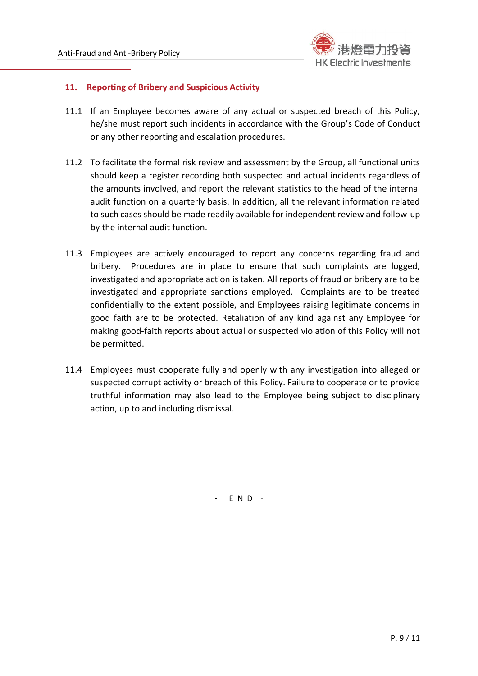

# **11. Reporting of Bribery and Suspicious Activity**

- 11.1 If an Employee becomes aware of any actual or suspected breach of this Policy, he/she must report such incidents in accordance with the Group's Code of Conduct or any other reporting and escalation procedures.
- 11.2 To facilitate the formal risk review and assessment by the Group, all functional units should keep a register recording both suspected and actual incidents regardless of the amounts involved, and report the relevant statistics to the head of the internal audit function on a quarterly basis. In addition, all the relevant information related to such cases should be made readily available for independent review and follow-up by the internal audit function.
- 11.3 Employees are actively encouraged to report any concerns regarding fraud and bribery. Procedures are in place to ensure that such complaints are logged, investigated and appropriate action is taken. All reports of fraud or bribery are to be investigated and appropriate sanctions employed. Complaints are to be treated confidentially to the extent possible, and Employees raising legitimate concerns in good faith are to be protected. Retaliation of any kind against any Employee for making good-faith reports about actual or suspected violation of this Policy will not be permitted.
- 11.4 Employees must cooperate fully and openly with any investigation into alleged or suspected corrupt activity or breach of this Policy. Failure to cooperate or to provide truthful information may also lead to the Employee being subject to disciplinary action, up to and including dismissal.

- E N D -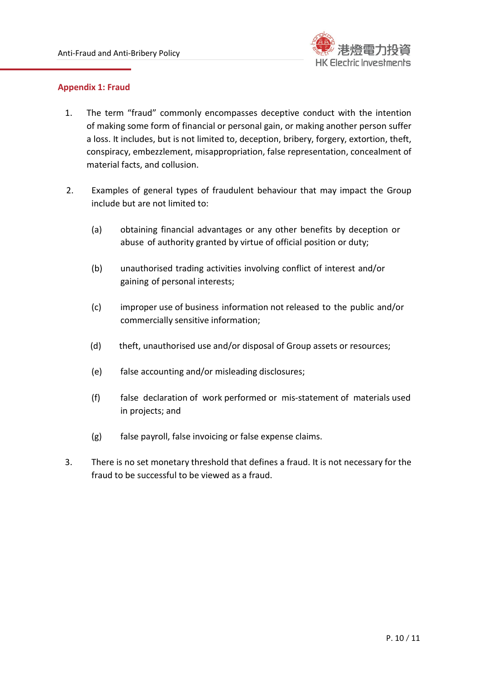

#### **Appendix 1: Fraud**

- 1. The term "fraud" commonly encompasses deceptive conduct with the intention of making some form of financial or personal gain, or making another person suffer a loss. It includes, but is not limited to, deception, bribery, forgery, extortion, theft, conspiracy, embezzlement, misappropriation, false representation, concealment of material facts, and collusion.
- 2. Examples of general types of fraudulent behaviour that may impact the Group include but are not limited to:
	- (a) obtaining financial advantages or any other benefits by deception or abuse of authority granted by virtue of official position or duty;
	- (b) unauthorised trading activities involving conflict of interest and/or gaining of personal interests;
	- (c) improper use of business information not released to the public and/or commercially sensitive information;
	- (d) theft, unauthorised use and/or disposal of Group assets or resources;
	- (e) false accounting and/or misleading disclosures;
	- (f) false declaration of work performed or mis-statement of materials used in projects; and
	- (g) false payroll, false invoicing or false expense claims.
- 3. There is no set monetary threshold that defines a fraud. It is not necessary for the fraud to be successful to be viewed as a fraud.